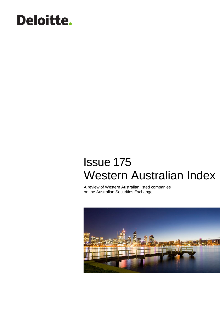# **Deloitte.**

## Issue 175 Western Australian Index

A review of Western Australian listed companies on the Australian Securities Exchange

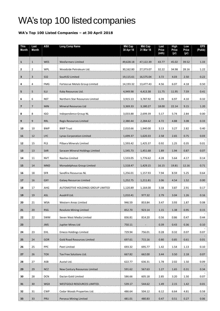### WA's top 100 listed companies

#### **WA's Top 100 Listed Companies – at 30 April 2018**

| <b>This</b><br>Month     | Last<br><b>Month</b> | <b>ASX</b> | <b>Long Comp Name</b>              | <b>Mkt Cap</b><br>30 Apr 18 | <b>Mkt Cap</b><br>31 Mar 18 | Last<br>Price<br>(mth) | High<br>Price<br>(yr) | Low<br>Price<br>(yr) | <b>EPS</b><br>(PoAb) |
|--------------------------|----------------------|------------|------------------------------------|-----------------------------|-----------------------------|------------------------|-----------------------|----------------------|----------------------|
| $\mathbf{1}$             | $\mathbf{1}$         | <b>WES</b> | Wesfarmers Limited                 | 49,628.18                   | 47,122.39                   | 43.77                  | 45.02                 | 39.52                | 1.33                 |
| 2                        | $\overline{2}$       | <b>WPL</b> | Woodside Petroleum Ltd.            | 30,162.80                   | 27,373.07                   | 32.22                  | 34.98                 | 28.16                | 1.22                 |
| 3                        | $\overline{3}$       | <b>S32</b> | South32 Limited                    | 19,115.61                   | 16,575.04                   | 3.72                   | 4.03                  | 2.50                 | 0.22                 |
| 4                        | 4                    | <b>FMG</b> | Fortescue Metals Group Limited     | 14,193.32                   | 13,477.43                   | 4.56                   | 6.07                  | 4.18                 | 0.50                 |
| 5                        | 5                    | ILU        | Iluka Resources Ltd.               | 4,949.98                    | 4,413.38                    | 11.75                  | 11.95                 | 7.59                 | 0.41                 |
| 6                        | 6                    | <b>NST</b> | Northern Star Resources Limited    | 3,915.13                    | 3,787.92                    | 6.39                   | 6.97                  | 4.10                 | 0.32                 |
| $\overline{\phantom{a}}$ | $\overline{7}$       | <b>MIN</b> | Mineral Resources Ltd              | 3,369.33                    | 3,180.27                    | 18.00                  | 22.14                 | 9.15                 | 1.20                 |
| 8                        | 8                    | <b>IGO</b> | Independence Group NL              | 3,033.88                    | 2,699.39                    | 5.17                   | 5.74                  | 2.84                 | 0.00                 |
| 9                        | 9                    | <b>RRL</b> | <b>Regis Resources Limited</b>     | 2.380.44                    | 2,284.62                    | 4.72                   | 4.88                  | 3.08                 | 0.33                 |
| 10                       | 10                   | <b>BWP</b> | <b>BWP Trust</b>                   | 2,010.66                    | 1,940.00                    | 3.13                   | 3.27                  | 2.82                 | 0.40                 |
| 11                       | 12                   | <b>LYC</b> | <b>Lynas Corporation Limited</b>   | 1,699.37                    | 1,620.33                    | 2.58                   | 2.65                  | 0.75                 | 0.03                 |
| 12                       | 15                   | PLS        | Pilbara Minerals Limited           | 1,593.42                    | 1,425.37                    | 0.92                   | 1.25                  | 0.35                 | 0.01                 |
| 13                       | 13                   | SAR        | Saracen Mineral Holdings Limited   | 1,545.73                    | 1,451.68                    | 1.89                   | 1.94                  | 0.87                 | 0.07                 |
| 14                       | 11                   | <b>NVT</b> | Navitas Limited                    | 1,533.05                    | 1,776.62                    | 4.28                   | 5.64                  | 4.17                 | 0.14                 |
| 15                       | 14                   | <b>MND</b> | Monadelphous Group Limited         | 1,518.47                    | 1,429.15                    | 16.15                  | 19.81                 | 12.16                | 0.71                 |
| 16                       | 18                   | <b>SFR</b> | Sandfire Resources NL              | 1,256.01                    | 1,157.93                    | 7.94                   | 8.59                  | 5.25                 | 0.64                 |
| 17                       | 16                   | <b>GXY</b> | <b>Galaxy Resources Limited</b>    | 1,252.75                    | 1,211.81                    | 3.06                   | 4.54                  | 1.52                 | 0.00                 |
| 18                       | 17                   | AHG        | AUTOMOTIVE HOLDINGS GROUP LIMITED  | 1,120.89                    | 1,164.00                    | 3.38                   | 3.87                  | 2.91                 | 0.17                 |
| 19                       | 19                   | <b>ASL</b> | Ausdrill Ltd.                      | 1,010.41                    | 977.32                      | 2.79                   | 3.04                  | 1.26                 | 0.16                 |
| 20                       | 21                   | <b>WSA</b> | Western Areas Limited              | 946.59                      | 853.84                      | 3.47                   | 3.93                  | 1.87                 | 0.08                 |
| 21                       | 20                   | <b>RSG</b> | <b>Resolute Mining Limited</b>     | 852.70                      | 923.14                      | 1.15                   | 1.38                  | 0.95                 | 0.15                 |
| 22                       | 22                   | SWM        | Seven West Media Limited           | 836.81                      | 814.20                      | 0.56                   | 0.86                  | 0.47                 | 0.44                 |
| 23                       |                      | <b>JMS</b> | Jupiter Mines Ltd                  | 750.11                      |                             | 0.39                   | 0.43                  | 0.36                 | 0.10                 |
| 24                       | 23                   | EHL        | <b>Emeco Holdings Limited</b>      | 729.94                      | 756.01                      | 0.28                   | 0.32                  | 0.07                 | 0.07                 |
| 25                       | 24                   | <b>GOR</b> | <b>Gold Road Resources Limited</b> | 697.61                      | 715.16                      | 0.80                   | 0.85                  | 0.61                 | 0.01                 |
| 26                       | 25                   | PPC        | Peet Limited                       | 693.32                      | 695.77                      | 1.42                   | 1.54                  | 1.13                 | 0.10                 |
| 27                       | 26                   | <b>TOX</b> | Tox Free Solutions Ltd.            | 667.82                      | 662.00                      | 3.44                   | 3.50                  | 2.18                 | 0.07                 |
| 28                       | 27                   | ASB        | Austal Ltd.                        | 622.77                      | 636.31                      | 1.78                   | 2.02                  | 1.50                 | 0.09                 |
| 29                       | 29                   | <b>NCZ</b> | New Century Resources Limited      | 591.62                      | 567.63                      | 1.27                   | 1.65                  | 0.31                 | 0.34                 |
| 30                       | 28                   | <b>DCN</b> | Dacian Gold Limited                | 586.66                      | 605.18                      | 2.85                   | 3.20                  | 1.50                 | 0.07                 |
| 31                       | 30 <sup>°</sup>      | WGX        | WESTGOLD RESOURCES LIMITED.        | 539.17                      | 544.62                      | 1.49                   | 2.15                  | 1.42                 | 0.01                 |
| 32                       | 31                   | <b>CWP</b> | Cedar Woods Properties Ltd.        | 486.64                      | 504.12                      | 6.12                   | 6.64                  | 4.81                 | 0.58                 |
| 33                       | 33                   | PRU        | Perseus Mining Limited             | 481.01                      | 480.83                      | 0.47                   | 0.51                  | 0.27                 | 0.06                 |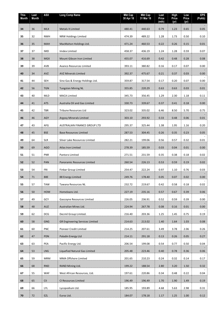| <b>This</b><br>Month | Last<br>Month | ASX        | <b>Long Comp Name</b>                  | <b>Mkt Cap</b><br>30 Apr 18 | <b>Mkt Cap</b><br>31 Mar 18 | Last<br>Price<br>(mth) | <b>High</b><br>Price<br>(yr) | Low<br>Price<br>(yr) | <b>EPS</b><br>(PoAb) |
|----------------------|---------------|------------|----------------------------------------|-----------------------------|-----------------------------|------------------------|------------------------------|----------------------|----------------------|
| 34                   | 36            | MLX        | Metals X Limited                       | 480.41                      | 440.63                      | 0.79                   | 1.23                         | 0.65                 | 0.05                 |
| 35                   | 32            | <b>NWH</b> | NRW Holdings Limited                   | 474.39                      | 489.22                      | 1.28                   | 1.73                         | 0.50                 | 0.10                 |
| 36                   | 35            | <b>MAH</b> | MacMahon Holdings Ltd.                 | 471.24                      | 460.53                      | 0.22                   | 0.26                         | 0.15                 | 0.01                 |
| 37                   | 37            | <b>IMD</b> | Imdex Limited                          | 458.37                      | 436.19                      | 1.24                   | 1.28                         | 0.59                 | 0.07                 |
| 38                   | 38            | <b>MGX</b> | Mount Gibson Iron Limited              | 455.07                      | 416.69                      | 0.42                   | 0.48                         | 0.28                 | 0.08                 |
| 39                   | 39            | AVB        | Avanco Resources Limited               | 393.11                      | 380.82                      | 0.16                   | 0.17                         | 0.07                 | 0.00                 |
| 40                   | 34            | <b>AVZ</b> | <b>AVZ Minerals Limited</b>            | 392.37                      | 475.67                      | 0.21                   | 0.37                         | 0.03                 | 0.00                 |
| 41                   | 44            | <b>SEH</b> | Sino Gas & Energy Holdings Ltd.        | 359.87                      | 317.54                      | 0.17                   | 0.20                         | 0.07                 | 0.00                 |
| 42                   | 56            | <b>TGN</b> | <b>Tungsten Mining NL</b>              | 355.85                      | 220.29                      | 0.63                   | 0.63                         | 0.03                 | 0.01                 |
| 43                   | 40            | MLD        | <b>MACA Limited</b>                    | 345.73                      | 356.45                      | 1.29                   | 2.30                         | 1.18                 | 0.11                 |
| 44                   | 41            | <b>ATS</b> | Australia Oil and Gas Limited          | 330.73                      | 339.67                      | 0.37                   | 0.41                         | 0.18                 | 0.00                 |
| 45                   | 42            | <b>TBR</b> | Tribune Resources Ltd                  | 323.02                      | 335.02                      | 6.46                   | 8.50                         | 5.70                 | 0.75                 |
| 46                   | 46            | AGY        | <b>Argosy Minerals Limited</b>         | 303.10                      | 293.92                      | 0.33                   | 0.48                         | 0.06                 | 0.01                 |
| 47                   | 43            | AFG        | AUSTRALIAN FINANCE GROUP LTD           | 295.37                      | 325.44                      | 1.38                   | 1.95                         | 1.16                 | 0.20                 |
| 48                   | 45            | <b>BSE</b> | <b>Base Resources Limited</b>          | 287.53                      | 304.45                      | 0.26                   | 0.35                         | 0.23                 | 0.05                 |
| 49                   | 64            | <b>SLR</b> | Silver Lake Resources Limited          | 282.21                      | 199.06                      | 0.56                   | 0.57                         | 0.32                 | 0.01                 |
| 50                   | 69            | <b>AGO</b> | Atlas Iron Limited                     | 278.39                      | 185.59                      | 0.03                   | 0.04                         | 0.01                 | 0.00                 |
| 51                   | 51            | PNR        | Pantoro Limited                        | 271.51                      | 231.59                      | 0.35                   | 0.38                         | 0.18                 | 0.02                 |
| 52                   | 52            | PAN        | Panoramic Resources Limited            | 260.54                      | 226.13                      | 0.53                   | 0.59                         | 0.19                 | 0.02                 |
| 53                   | 54            | FRI        | Finbar Group Limited                   | 254.47                      | 222.24                      | 0.97                   | 1.10                         | 0.76                 | 0.03                 |
| 54                   | 71            | 88E        | 88 Energy Limited                      | 249.76                      | 178.40                      | 0.05                   | 0.07                         | 0.02                 | 0.00                 |
| 55                   | 57            | <b>TAW</b> | Tawana Resources NL                    | 232.72                      | 219.67                      | 0.42                   | 0.58                         | 0.18                 | 0.02                 |
| 56                   | 50            | HOM        | Homeloans Ltd.                         | 227.19                      | 235.16                      | 0.57                   | 0.67                         | 0.39                 | 0.06                 |
| 57                   | 49            | <b>GCY</b> | Gascoyne Resources Limited             | 226.05                      | 236.91                      | 0.52                   | 0.59                         | 0.39                 | 0.00                 |
| 58                   | 48            | AUZ        | Australian Mines Ltd.                  | 224.94                      | 267.78                      | 0.08                   | 0.16                         | 0.01                 | 0.00                 |
| 59                   | 62            | <b>DCG</b> | Decmil Group Limited.                  | 216.40                      | 203.36                      | 1.25                   | 1.45                         | 0.75                 | 0.19                 |
| 60                   | 58            | <b>GNG</b> | <b>GR Engineering Services Limited</b> | 214.63                      | 213.02                      | 1.40                   | 1.64                         | 1.03                 | 0.08                 |
| 61                   | 60            | <b>PNC</b> | Pioneer Credit Limited                 | 214.25                      | 207.61                      | 3.49                   | 3.78                         | 2.06                 | 0.26                 |
| 62                   | 47            | PDN        | Paladin Energy Ltd                     | 214.11                      | 291.18                      | 0.13                   | 0.26                         | 0.05                 | 0.27                 |
| 63                   | 63            | PEA        | Pacific Energy Ltd.                    | 206.54                      | 199.08                      | 0.54                   | 0.77                         | 0.50                 | 0.04                 |
| 64                   | 53            | <b>LNG</b> | Liquefied Natural Gas Limited          | 205.48                      | 223.46                      | 0.40                   | 0.78                         | 0.36                 | 0.06                 |
| 65                   | 59            | <b>MRM</b> | MMA Offshore Limited                   | 201.65                      | 210.23                      | 0.24                   | 0.32                         | 0.14                 | 0.17                 |
| 66                   | 68            | <b>RND</b> | RAND Mining Ltd.                       | 199.22                      | 188.54                      | 2.80                   | 3.20                         | 1.50                 | 0.32                 |
| 67                   | 55            | <b>WAF</b> | West African Resources, Ltd.           | 197.61                      | 220.86                      | 0.34                   | 0.48                         | 0.22                 | 0.04                 |
| 68                   | 65            | <b>CII</b> | CI Resources Limited                   | 196.49                      | 196.49                      | 1.70                   | 1.90                         | 1.49                 | 0.19                 |
| 69                   | 66            | LYL        | Lycopodium Ltd.                        | 185.95                      | 193.89                      | 4.68                   | 5.63                         | 2.98                 | 0.31                 |
| ${\bf 70}$           | 72            | EZL        | Euroz Ltd.                             | 184.07                      | 178.18                      | 1.17                   | 1.25                         | 1.00                 | 0.12                 |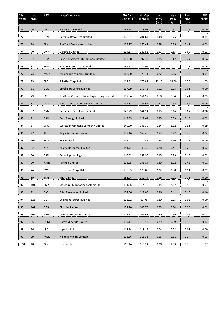| <b>This</b><br>Month | Last<br>Month | <b>ASX</b> | <b>Long Comp Name</b>                         | <b>Mkt Cap</b><br>30 Apr 18 | <b>Mkt Cap</b><br>31 Mar 18 | Last<br>Price<br>(mt) | <b>High</b><br>Price<br>(yr) | Low<br>Price<br>(yr) | <b>EPS</b><br>(PoAb) |
|----------------------|---------------|------------|-----------------------------------------------|-----------------------------|-----------------------------|-----------------------|------------------------------|----------------------|----------------------|
| 71                   | 76            | <b>NMT</b> | <b>Neometals Limited</b>                      | 181.15                      | 173.03                      | 0.34                  | 0.51                         | 0.25                 | 0.00                 |
| 72                   | 61            | CDV        | Cardinal Resources Limited                    | 178.91                      | 204.67                      | 0.48                  | 0.75                         | 0.38                 | 0.11                 |
| 73                   | 78            | <b>SFX</b> | Sheffield Resources Limited                   | 178.27                      | 163.41                      | 0.78                  | 0.85                         | 0.41                 | 0.03                 |
| 74                   | 70            | <b>DNK</b> | Danakali Limited                              | 174.57                      | 180.86                      | 0.67                  | 0.85                         | 0.60                 | 0.03                 |
| 75                   | 67            | <b>CCV</b> | Cash Converters International Limited         | 172.60                      | 192.33                      | 0.35                  | 0.42                         | 0.24                 | 0.04                 |
| 76                   | 88            | <b>FND</b> | <b>Finders Resources Limited</b>              | 169.58                      | 134.09                      | 0.22                  | 0.27                         | 0.13                 | 0.06                 |
| 77                   | 73            | <b>MOY</b> | Millennium Minerals Limited.                  | 167.90                      | 175.71                      | 0.22                  | 0.26                         | 0.14                 | 0.01                 |
| 78                   | 75            | <b>SFC</b> | Schaffer Corp. Ltd.                           | 167.81                      | 173.82                      | 12.10                 | 13.00                        | 6.70                 | 1.05                 |
| 79                   | 81            | <b>BCK</b> | <b>Brockman Mining Limited</b>                | 167.09                      | 159.72                      | 0.02                  | 0.03                         | 0.01                 | 0.00                 |
| 80                   | 79            | <b>SXE</b> | Southern Cross Electrical Engineering Limited | 157.34                      | 161.97                      | 0.68                  | 0.84                         | 0.44                 | 0.03                 |
| 81                   | 83            | GCS        | <b>Global Construction Services Limited</b>   | 149.83                      | 146.66                      | 0.71                  | 0.95                         | 0.52                 | 0.06                 |
| 82                   | 87            | <b>CVN</b> | Carnarvon Petroleum Limited                   | 149.29                      | 144.14                      | 0.15                  | 0.16                         | 0.07                 | 0.00                 |
| 83                   | 91            | <b>BRU</b> | <b>Buru Energy Limited</b>                    | 149.05                      | 129.61                      | 0.35                  | 0.39                         | 0.16                 | 0.02                 |
| 84                   | 84            | <b>WIC</b> | Westoz Investment Company Limited             | 149.00                      | 146.39                      | 1.14                  | 1.22                         | 0.91                 | 0.19                 |
| 85                   | 77            | <b>TLG</b> | Talga Resources Limited                       | 148.16                      | 168.46                      | 0.73                  | 0.92                         | 0.48                 | 0.04                 |
| 86                   | 102           | SRG        | <b>SRG Limited</b>                            | 145.42                      | 114.31                      | 1.84                  | 1.90                         | 1.15                 | 0.09                 |
| 87                   | 82            | <b>ALK</b> | Alkane Resources Limited                      | 141.71                      | 149.30                      | 0.28                  | 0.41                         | 0.22                 | 0.02                 |
| 88                   | 80            | <b>BRN</b> | <b>Brainchip Holdings Ltd</b>                 | 140.52                      | 159.90                      | 0.15                  | 0.29                         | 0.13                 | 0.02                 |
| 89                   | 90            | <b>AMN</b> | <b>Agrimin Limited</b>                        | 138.95                      | 131.14                      | 0.89                  | 1.02                         | 0.43                 | 0.01                 |
| 90                   | 74            | <b>FWD</b> | Fleetwood Corp. Ltd.                          | 135.93                      | 173.89                      | 2.22                  | 3.30                         | 1.91                 | 0.01                 |
| 91                   | 89            | <b>TNG</b> | <b>TNG Limited</b>                            | 133.04                      | 132.74                      | 0.16                  | 0.22                         | 0.11                 | 0.00                 |
| 92                   | 101           | SMN        | <b>Structural Monitoring Systems Plc</b>      | 131.56                      | 114.40                      | 1.15                  | 2.07                         | 0.90                 | 0.04                 |
| 93                   | 92            | EAR        | Echo Resources Limited                        | 127.06                      | 127.06                      | 0.26                  | 0.41                         | 0.10                 | 0.10                 |
| 94                   | 126           | <b>CLA</b> | Celsius Resources Limited                     | 122.92                      | 83.75                       | 0.20                  | 0.25                         | 0.03                 | 0.00                 |
| 95                   | 107           | <b>BGS</b> | <b>Birimian Limited</b>                       | 122.20                      | 103.75                      | 0.53                  | 0.84                         | 0.26                 | 0.02                 |
| 96                   | 106           | ARV        | Artemis Resources Limited                     | 122.18                      | 109.65                      | 0.20                  | 0.59                         | 0.06                 | 0.02                 |
| 97                   | 95            | <b>DRM</b> | Doray Minerals Limited                        | 119.17                      | 119.17                      | 0.29                  | 0.39                         | 0.16                 | 0.13                 |
| 98                   | 96            | <b>LPD</b> | Lepidico Ltd                                  | 118.14                      | 118.14                      | 0.04                  | 0.08                         | 0.01                 | 0.00                 |
| 99                   | 99            | <b>MML</b> | <b>Medusa Mining Limited</b>                  | 116.36                      | 115.33                      | 0.56                  | 0.61                         | 0.27                 | 0.03                 |
| 100                  | 100           | QIN        | Quintis Ltd                                   | 115.14                      | 115.14                      | 0.30                  | 1.83                         | 0.30                 | 1.07                 |